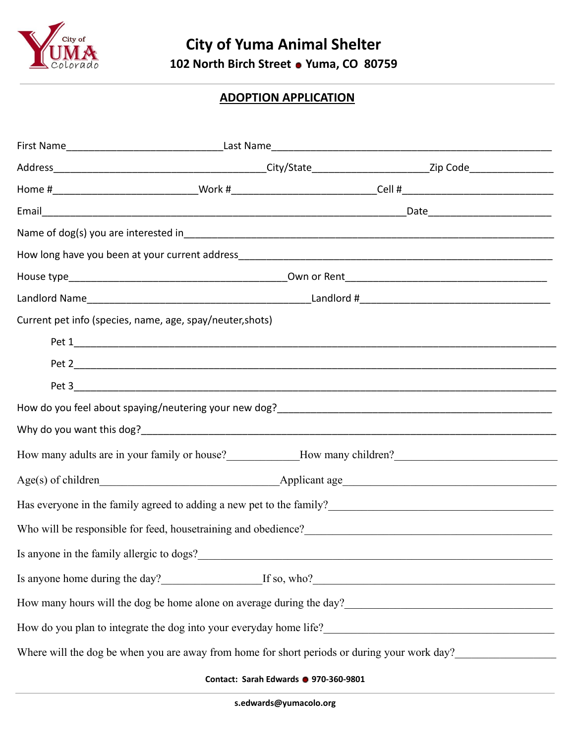

## **ADOPTION APPLICATION**

|                                           |                                                           | Home #___________________________________Work #_______________________________Cell #__________________________             |
|-------------------------------------------|-----------------------------------------------------------|----------------------------------------------------------------------------------------------------------------------------|
|                                           |                                                           |                                                                                                                            |
|                                           |                                                           |                                                                                                                            |
|                                           |                                                           |                                                                                                                            |
|                                           |                                                           |                                                                                                                            |
|                                           |                                                           |                                                                                                                            |
|                                           | Current pet info (species, name, age, spay/neuter, shots) |                                                                                                                            |
|                                           |                                                           |                                                                                                                            |
|                                           |                                                           |                                                                                                                            |
|                                           |                                                           |                                                                                                                            |
|                                           |                                                           |                                                                                                                            |
|                                           |                                                           |                                                                                                                            |
|                                           |                                                           | How many adults are in your family or house?<br>Mow many children? Mow many children.                                      |
|                                           |                                                           |                                                                                                                            |
|                                           |                                                           | Has everyone in the family agreed to adding a new pet to the family?<br><u>Letting</u>                                     |
|                                           |                                                           |                                                                                                                            |
| Is anyone in the family allergic to dogs? |                                                           |                                                                                                                            |
|                                           |                                                           | Is anyone home during the day?<br>If so, who?<br>If so, who?                                                               |
|                                           |                                                           | How many hours will the dog be home alone on average during the day?<br><u>Letting</u> the day?<br><u>Letting</u> the day? |
|                                           |                                                           | How do you plan to integrate the dog into your everyday home life?                                                         |
|                                           |                                                           | Where will the dog be when you are away from home for short periods or during your work day?                               |
|                                           | Contact: Sarah Edwards @ 970-360-9801                     |                                                                                                                            |

**s.edwards@yumacolo.org**